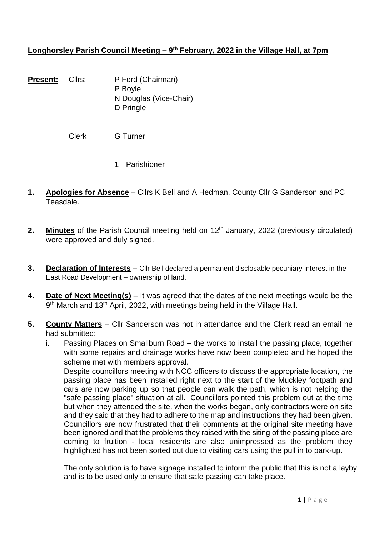#### **Longhorsley Parish Council Meeting – 9 th February, 2022 in the Village Hall, at 7pm**

**Present:** Cllrs: P Ford (Chairman) P Boyle N Douglas (Vice-Chair) D Pringle

Clerk G Turner

- 1 Parishioner
- **1. Apologies for Absence** Cllrs K Bell and A Hedman, County Cllr G Sanderson and PC Teasdale.
- **2. Minutes** of the Parish Council meeting held on 12<sup>th</sup> January, 2022 (previously circulated) were approved and duly signed.
- **3. Declaration of Interests** Cllr Bell declared a permanent disclosable pecuniary interest in the East Road Development – ownership of land.
- **4. Date of Next Meeting(s)** It was agreed that the dates of the next meetings would be the 9<sup>th</sup> March and 13<sup>th</sup> April, 2022, with meetings being held in the Village Hall.

#### **5. County Matters** – Cllr Sanderson was not in attendance and the Clerk read an email he had submitted:

i. Passing Places on Smallburn Road – the works to install the passing place, together with some repairs and drainage works have now been completed and he hoped the scheme met with members approval.

Despite councillors meeting with NCC officers to discuss the appropriate location, the passing place has been installed right next to the start of the Muckley footpath and cars are now parking up so that people can walk the path, which is not helping the "safe passing place" situation at all. Councillors pointed this problem out at the time but when they attended the site, when the works began, only contractors were on site and they said that they had to adhere to the map and instructions they had been given. Councillors are now frustrated that their comments at the original site meeting have been ignored and that the problems they raised with the siting of the passing place are coming to fruition - local residents are also unimpressed as the problem they highlighted has not been sorted out due to visiting cars using the pull in to park-up.

The only solution is to have signage installed to inform the public that this is not a layby and is to be used only to ensure that safe passing can take place.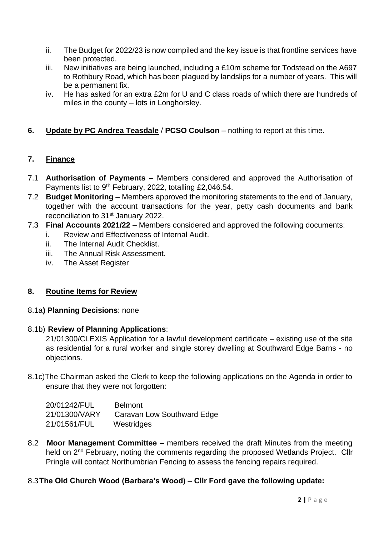- ii. The Budget for 2022/23 is now compiled and the key issue is that frontline services have been protected.
- iii. New initiatives are being launched, including a £10m scheme for Todstead on the A697 to Rothbury Road, which has been plagued by landslips for a number of years. This will be a permanent fix.
- iv. He has asked for an extra £2m for U and C class roads of which there are hundreds of miles in the county – lots in Longhorsley.

## **6. Update by PC Andrea Teasdale** / **PCSO Coulson** – nothing to report at this time.

#### **7. Finance**

- 7.1 **Authorisation of Payments** Members considered and approved the Authorisation of Payments list to 9<sup>th</sup> February, 2022, totalling £2,046.54.
- 7.2 **Budget Monitoring** Members approved the monitoring statements to the end of January, together with the account transactions for the year, petty cash documents and bank reconciliation to 31<sup>st</sup> January 2022.
- 7.3 **Final Accounts 2021/22** Members considered and approved the following documents:
	- i. Review and Effectiveness of Internal Audit.
	- ii. The Internal Audit Checklist.
	- iii. The Annual Risk Assessment.
	- iv. The Asset Register

# **8. Routine Items for Review**

8.1a**) Planning Decisions**: none

#### 8.1b) **Review of Planning Applications**:

21/01300/CLEXIS Application for a lawful development certificate – existing use of the site as residential for a rural worker and single storey dwelling at Southward Edge Barns - no objections.

8.1c)The Chairman asked the Clerk to keep the following applications on the Agenda in order to ensure that they were not forgotten:

| 20/01242/FUL  | <b>Belmont</b>             |
|---------------|----------------------------|
| 21/01300/VARY | Caravan Low Southward Edge |
| 21/01561/FUL  | Westridges                 |

8.2 **Moor Management Committee –** members received the draft Minutes from the meeting held on 2<sup>nd</sup> February, noting the comments regarding the proposed Wetlands Project. Cllr Pringle will contact Northumbrian Fencing to assess the fencing repairs required.

#### 8.3**The Old Church Wood (Barbara's Wood) – Cllr Ford gave the following update:**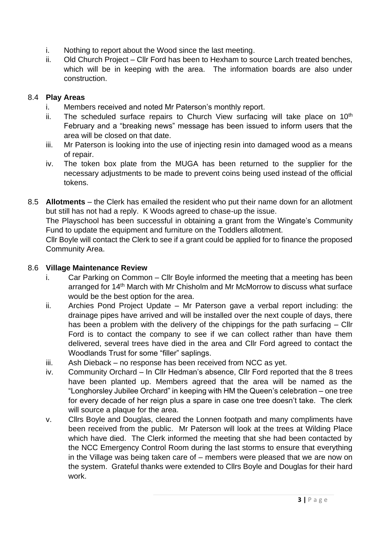- i. Nothing to report about the Wood since the last meeting.
- ii. Old Church Project Cllr Ford has been to Hexham to source Larch treated benches, which will be in keeping with the area. The information boards are also under construction.

### 8.4 **Play Areas**

- i. Members received and noted Mr Paterson's monthly report.
- ii. The scheduled surface repairs to Church View surfacing will take place on  $10<sup>th</sup>$ February and a "breaking news" message has been issued to inform users that the area will be closed on that date.
- iii. Mr Paterson is looking into the use of injecting resin into damaged wood as a means of repair.
- iv. The token box plate from the MUGA has been returned to the supplier for the necessary adjustments to be made to prevent coins being used instead of the official tokens.
- 8.5 **Allotments** the Clerk has emailed the resident who put their name down for an allotment but still has not had a reply. K Woods agreed to chase-up the issue.

The Playschool has been successful in obtaining a grant from the Wingate's Community Fund to update the equipment and furniture on the Toddlers allotment.

Cllr Boyle will contact the Clerk to see if a grant could be applied for to finance the proposed Community Area.

#### 8.6 **Village Maintenance Review**

- i. Car Parking on Common Cllr Boyle informed the meeting that a meeting has been arranged for 14<sup>th</sup> March with Mr Chisholm and Mr McMorrow to discuss what surface would be the best option for the area.
- ii. Archies Pond Project Update Mr Paterson gave a verbal report including: the drainage pipes have arrived and will be installed over the next couple of days, there has been a problem with the delivery of the chippings for the path surfacing – Cllr Ford is to contact the company to see if we can collect rather than have them delivered, several trees have died in the area and Cllr Ford agreed to contact the Woodlands Trust for some "filler" saplings.
- iii. Ash Dieback no response has been received from NCC as yet.
- iv. Community Orchard In Cllr Hedman's absence, Cllr Ford reported that the 8 trees have been planted up. Members agreed that the area will be named as the "Longhorsley Jubilee Orchard" in keeping with HM the Queen's celebration – one tree for every decade of her reign plus a spare in case one tree doesn't take. The clerk will source a plaque for the area.
- v. Cllrs Boyle and Douglas, cleared the Lonnen footpath and many compliments have been received from the public. Mr Paterson will look at the trees at Wilding Place which have died. The Clerk informed the meeting that she had been contacted by the NCC Emergency Control Room during the last storms to ensure that everything in the Village was being taken care of – members were pleased that we are now on the system. Grateful thanks were extended to Cllrs Boyle and Douglas for their hard work.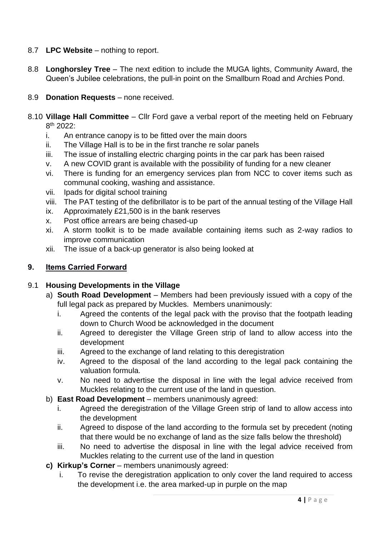### 8.7 **LPC Website** – nothing to report.

8.8 **Longhorsley Tree** – The next edition to include the MUGA lights, Community Award, the Queen's Jubilee celebrations, the pull-in point on the Smallburn Road and Archies Pond.

#### 8.9 **Donation Requests** – none received.

- 8.10 **Village Hall Committee** Cllr Ford gave a verbal report of the meeting held on February 8 th 2022:
	- i. An entrance canopy is to be fitted over the main doors
	- ii. The Village Hall is to be in the first tranche re solar panels
	- iii. The issue of installing electric charging points in the car park has been raised
	- v. A new COVID grant is available with the possibility of funding for a new cleaner
	- vi. There is funding for an emergency services plan from NCC to cover items such as communal cooking, washing and assistance.
	- vii. Ipads for digital school training
	- viii. The PAT testing of the defibrillator is to be part of the annual testing of the Village Hall
	- ix. Approximately £21,500 is in the bank reserves
	- x. Post office arrears are being chased-up
	- xi. A storm toolkit is to be made available containing items such as 2-way radios to improve communication
	- xii. The issue of a back-up generator is also being looked at

# **9. Items Carried Forward**

#### 9.1 **Housing Developments in the Village**

- a) **South Road Development** Members had been previously issued with a copy of the full legal pack as prepared by Muckles. Members unanimously:
	- i. Agreed the contents of the legal pack with the proviso that the footpath leading down to Church Wood be acknowledged in the document
	- ii. Agreed to deregister the Village Green strip of land to allow access into the development
	- iii. Agreed to the exchange of land relating to this deregistration
	- iv. Agreed to the disposal of the land according to the legal pack containing the valuation formula.
	- v. No need to advertise the disposal in line with the legal advice received from Muckles relating to the current use of the land in question.
- b) **East Road Development** members unanimously agreed:
	- i. Agreed the deregistration of the Village Green strip of land to allow access into the development
	- ii. Agreed to dispose of the land according to the formula set by precedent (noting that there would be no exchange of land as the size falls below the threshold)
	- iii. No need to advertise the disposal in line with the legal advice received from Muckles relating to the current use of the land in question
- **c) Kirkup's Corner** members unanimously agreed:
	- i. To revise the deregistration application to only cover the land required to access the development i.e. the area marked-up in purple on the map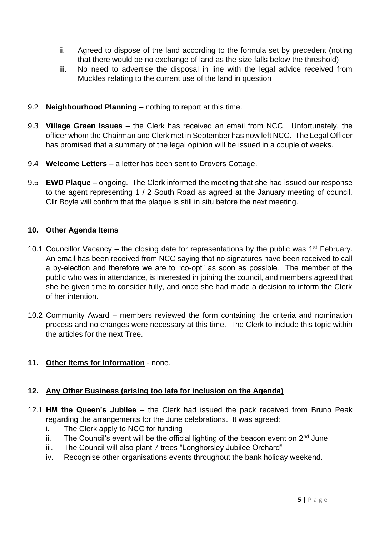- ii. Agreed to dispose of the land according to the formula set by precedent (noting that there would be no exchange of land as the size falls below the threshold)
- iii. No need to advertise the disposal in line with the legal advice received from Muckles relating to the current use of the land in question
- 9.2 **Neighbourhood Planning** nothing to report at this time.
- 9.3 **Village Green Issues** the Clerk has received an email from NCC. Unfortunately, the officer whom the Chairman and Clerk met in September has now left NCC. The Legal Officer has promised that a summary of the legal opinion will be issued in a couple of weeks.
- 9.4 **Welcome Letters** a letter has been sent to Drovers Cottage.
- 9.5 **EWD Plaque** ongoing. The Clerk informed the meeting that she had issued our response to the agent representing 1 / 2 South Road as agreed at the January meeting of council. Cllr Boyle will confirm that the plaque is still in situ before the next meeting.

## **10. Other Agenda Items**

- 10.1 Councillor Vacancy the closing date for representations by the public was  $1<sup>st</sup>$  February. An email has been received from NCC saying that no signatures have been received to call a by-election and therefore we are to "co-opt" as soon as possible. The member of the public who was in attendance, is interested in joining the council, and members agreed that she be given time to consider fully, and once she had made a decision to inform the Clerk of her intention.
- 10.2 Community Award members reviewed the form containing the criteria and nomination process and no changes were necessary at this time. The Clerk to include this topic within the articles for the next Tree.
- **11. Other Items for Information** none.

# **12. Any Other Business (arising too late for inclusion on the Agenda)**

- 12.1 **HM the Queen's Jubilee** the Clerk had issued the pack received from Bruno Peak regarding the arrangements for the June celebrations. It was agreed:
	- i. The Clerk apply to NCC for funding
	- ii. The Council's event will be the official lighting of the beacon event on  $2<sup>nd</sup>$  June
	- iii. The Council will also plant 7 trees "Longhorsley Jubilee Orchard"
	- iv. Recognise other organisations events throughout the bank holiday weekend.